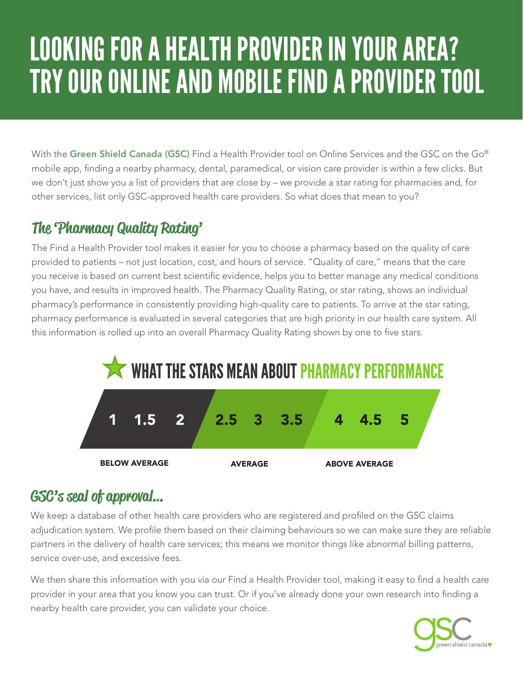# LOOKING FOR A HEALTH PROVIDER IN YOUR AREA? TRY OUR ONLINE AND MOBILE FIND A PROVIDER TOOL

With the Green Shield Canada (GSC) Find a Health Provider tool on Online Services and the GSC on the Go® mobile app, finding a nearby pharmacy, dental, paramedical, or vision care provider is within a few clicks. But we don't just show you a list of providers that are close by – we provide a star rating for pharmacies and, for other services, list only GSC-approved health care providers. So what does that mean to you?

## The 'Pharmacy Quality Rating'

The Find a Health Provider tool makes it easier for you to choose a pharmacy based on the quality of care provided to patients – not just location, cost, and hours of service. "Quality of care," means that the care you receive is based on current best scientific evidence, helps you to better manage any medical conditions you have, and results in improved health. The Pharmacy Quality Rating, or star rating, shows an individual pharmacy's performance in consistently providing high-quality care to patients. To arrive at the star rating, pharmacy performance is evaluated in several categories that are high priority in our health care system. All this information is rolled up into an overall Pharmacy Quality Rating shown by one to five stars.



# GSC's seal of approval…

We keep a database of other health care providers who are registered and profiled on the GSC claims adjudication system. We profile them based on their claiming behaviours so we can make sure they are reliable partners in the delivery of health care services; this means we monitor things like abnormal billing patterns, service over-use, and excessive fees.

We then share this information with you via our Find a Health Provider tool, making it easy to find a health care provider in your area that you know you can trust. Or if you've already done your own research into finding a nearby health care provider, you can validate your choice.